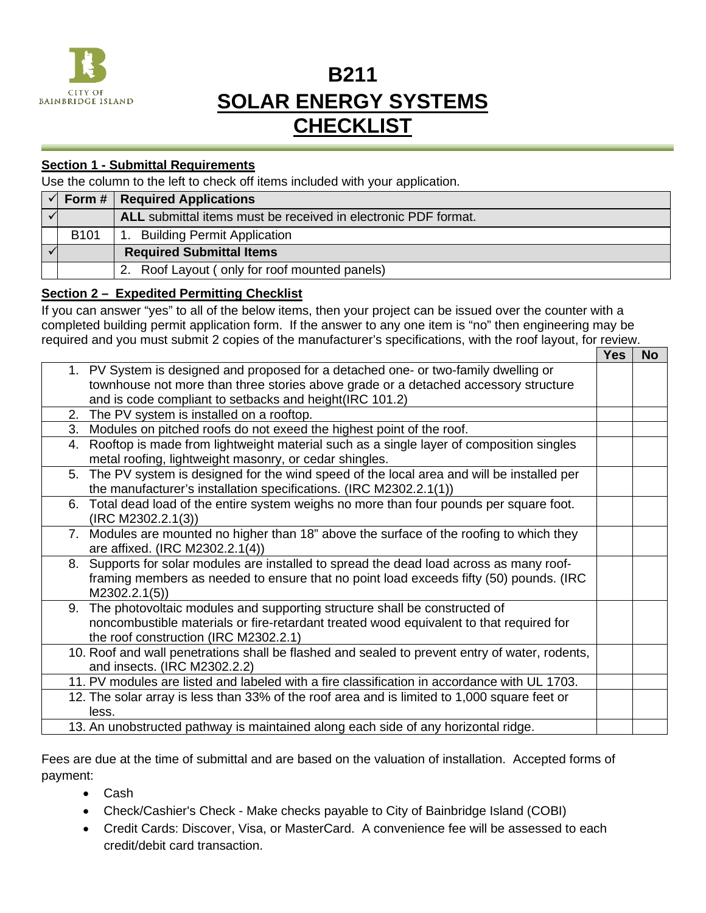

# **B211 SOLAR ENERGY SYSTEMS CHECKLIST**

## **Section 1 - Submittal Requirements**

Use the column to the left to check off items included with your application.

|                  | $\sqrt{ }$ Form #   Required Applications                      |
|------------------|----------------------------------------------------------------|
|                  | ALL submittal items must be received in electronic PDF format. |
| B <sub>101</sub> | <b>Building Permit Application</b>                             |
|                  | <b>Required Submittal Items</b>                                |
|                  | 2. Roof Layout (only for roof mounted panels)                  |

## **Section 2 – Expedited Permitting Checklist**

If you can answer "yes" to all of the below items, then your project can be issued over the counter with a completed building permit application form. If the answer to any one item is "no" then engineering may be required and you must submit 2 copies of the manufacturer's specifications, with the roof layout, for review.

|                                                                                                | Yes | <b>No</b> |
|------------------------------------------------------------------------------------------------|-----|-----------|
| 1. PV System is designed and proposed for a detached one- or two-family dwelling or            |     |           |
| townhouse not more than three stories above grade or a detached accessory structure            |     |           |
| and is code compliant to setbacks and height (IRC 101.2)                                       |     |           |
| 2. The PV system is installed on a rooftop.                                                    |     |           |
| Modules on pitched roofs do not exeed the highest point of the roof.<br>3.                     |     |           |
| 4. Rooftop is made from lightweight material such as a single layer of composition singles     |     |           |
| metal roofing, lightweight masonry, or cedar shingles.                                         |     |           |
| 5. The PV system is designed for the wind speed of the local area and will be installed per    |     |           |
| the manufacturer's installation specifications. (IRC M2302.2.1(1))                             |     |           |
| 6. Total dead load of the entire system weighs no more than four pounds per square foot.       |     |           |
| (IRC M2302.2.1(3))                                                                             |     |           |
| 7. Modules are mounted no higher than 18" above the surface of the roofing to which they       |     |           |
| are affixed. (IRC M2302.2.1(4))                                                                |     |           |
| 8. Supports for solar modules are installed to spread the dead load across as many roof-       |     |           |
| framing members as needed to ensure that no point load exceeds fifty (50) pounds. (IRC         |     |           |
| M2302.2.1(5)                                                                                   |     |           |
| 9. The photovoltaic modules and supporting structure shall be constructed of                   |     |           |
| noncombustible materials or fire-retardant treated wood equivalent to that required for        |     |           |
| the roof construction (IRC M2302.2.1)                                                          |     |           |
| 10. Roof and wall penetrations shall be flashed and sealed to prevent entry of water, rodents, |     |           |
| and insects. (IRC M2302.2.2)                                                                   |     |           |
| 11. PV modules are listed and labeled with a fire classification in accordance with UL 1703.   |     |           |
| 12. The solar array is less than 33% of the roof area and is limited to 1,000 square feet or   |     |           |
| less.                                                                                          |     |           |
| 13. An unobstructed pathway is maintained along each side of any horizontal ridge.             |     |           |

Fees are due at the time of submittal and are based on the valuation of installation. Accepted forms of payment:

- Cash
- Check/Cashier's Check Make checks payable to City of Bainbridge Island (COBI)
- Credit Cards: Discover, Visa, or MasterCard. A convenience fee will be assessed to each credit/debit card transaction.